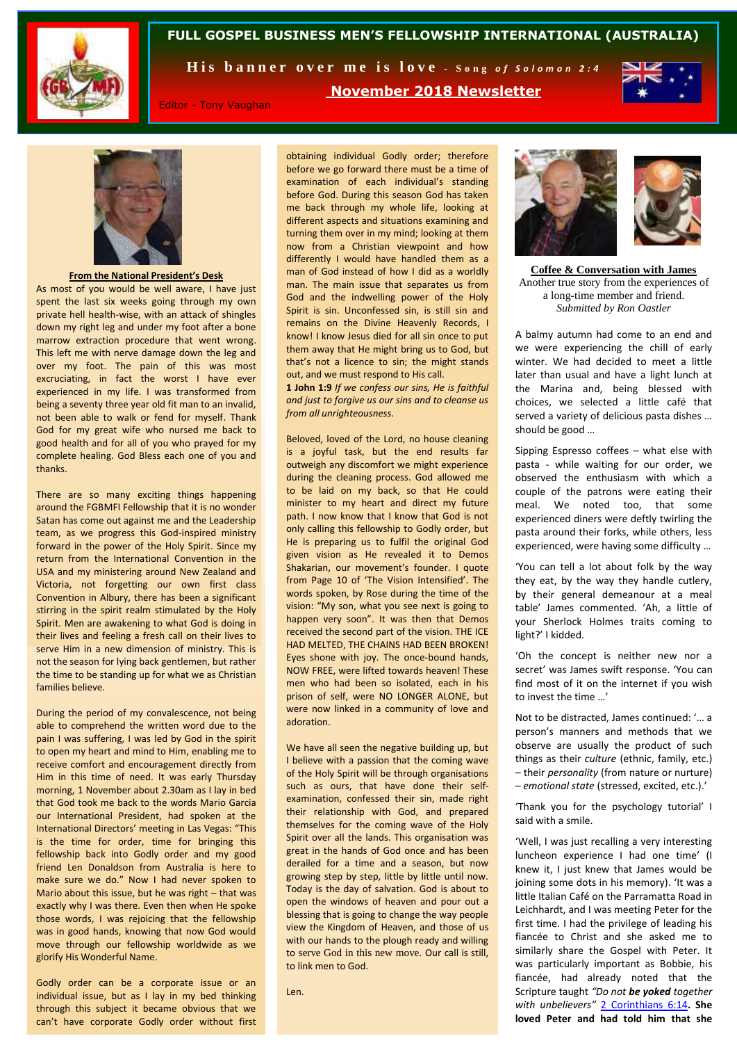

## **FULL GOSPEL BUSINESS MEN'S FELLOWSHIP INTERNATIONAL (AUSTRALIA)**

His banner over me is love - Song of Solomon 2:4

**November 2018 Newsletter**



Editor - Tony Vaughan

**From the National President's Desk**

As most of you would be well aware, I have just spent the last six weeks going through my own private hell health-wise, with an attack of shingles down my right leg and under my foot after a bone marrow extraction procedure that went wrong. This left me with nerve damage down the leg and over my foot. The pain of this was most excruciating, in fact the worst I have ever experienced in my life. I was transformed from being a seventy three year old fit man to an invalid, not been able to walk or fend for myself. Thank God for my great wife who nursed me back to good health and for all of you who prayed for my complete healing. God Bless each one of you and thanks.

There are so many exciting things happening around the FGBMFI Fellowship that it is no wonder Satan has come out against me and the Leadership team, as we progress this God-inspired ministry forward in the power of the Holy Spirit. Since my return from the International Convention in the USA and my ministering around New Zealand and Victoria, not forgetting our own first class Convention in Albury, there has been a significant stirring in the spirit realm stimulated by the Holy Spirit. Men are awakening to what God is doing in their lives and feeling a fresh call on their lives to serve Him in a new dimension of ministry. This is not the season for lying back gentlemen, but rather the time to be standing up for what we as Christian families believe.

During the period of my convalescence, not being able to comprehend the written word due to the pain I was suffering, I was led by God in the spirit to open my heart and mind to Him, enabling me to receive comfort and encouragement directly from Him in this time of need. It was early Thursday morning, 1 November about 2.30am as I lay in bed that God took me back to the words Mario Garcia our International President, had spoken at the International Directors' meeting in Las Vegas: "This is the time for order, time for bringing this fellowship back into Godly order and my good friend Len Donaldson from Australia is here to make sure we do." Now I had never spoken to Mario about this issue, but he was right – that was exactly why I was there. Even then when He spoke those words, I was rejoicing that the fellowship was in good hands, knowing that now God would move through our fellowship worldwide as we glorify His Wonderful Name.

Godly order can be a corporate issue or an individual issue, but as I lay in my bed thinking through this subject it became obvious that we can't have corporate Godly order without first

obtaining individual Godly order; therefore before we go forward there must be a time of examination of each individual's standing before God. During this season God has taken me back through my whole life, looking at different aspects and situations examining and turning them over in my mind; looking at them now from a Christian viewpoint and how differently I would have handled them as a man of God instead of how I did as a worldly man. The main issue that separates us from God and the indwelling power of the Holy Spirit is sin. Unconfessed sin, is still sin and remains on the Divine Heavenly Records, I know! I know Jesus died for all sin once to put them away that He might bring us to God, but that's not a licence to sin; the might stands out, and we must respond to His call.

**1 John 1:9** *If we confess our sins, He is faithful and just to forgive us our sins and to cleanse us from all unrighteousness.* 

Beloved, loved of the Lord, no house cleaning is a joyful task, but the end results far outweigh any discomfort we might experience during the cleaning process. God allowed me to be laid on my back, so that He could minister to my heart and direct my future path. I now know that I know that God is not only calling this fellowship to Godly order, but He is preparing us to fulfil the original God given vision as He revealed it to Demos Shakarian, our movement's founder. I quote from Page 10 of 'The Vision Intensified'. The words spoken, by Rose during the time of the vision: "My son, what you see next is going to happen very soon". It was then that Demos received the second part of the vision. THE ICE HAD MELTED, THE CHAINS HAD BEEN BROKEN! Eyes shone with joy. The once-bound hands, NOW FREE, were lifted towards heaven! These men who had been so isolated, each in his prison of self, were NO LONGER ALONE, but were now linked in a community of love and adoration.

We have all seen the negative building up, but I believe with a passion that the coming wave of the Holy Spirit will be through organisations such as ours, that have done their selfexamination, confessed their sin, made right their relationship with God, and prepared themselves for the coming wave of the Holy Spirit over all the lands. This organisation was great in the hands of God once and has been derailed for a time and a season, but now growing step by step, little by little until now. Today is the day of salvation. God is about to open the windows of heaven and pour out a blessing that is going to change the way people view the Kingdom of Heaven, and those of us with our hands to the plough ready and willing to serve God in this new move. Our call is still, to link men to God.

Len.



**Coffee & Conversation with James** Another true story from the experiences of a long-time member and friend. *Submitted by Ron Oastler*

A balmy autumn had come to an end and we were experiencing the chill of early winter. We had decided to meet a little later than usual and have a light lunch at the Marina and, being blessed with choices, we selected a little café that served a variety of delicious pasta dishes … should be good …

Sipping Espresso coffees – what else with pasta - while waiting for our order, we observed the enthusiasm with which a couple of the patrons were eating their meal. We noted too, that some experienced diners were deftly twirling the pasta around their forks, while others, less experienced, were having some difficulty …

'You can tell a lot about folk by the way they eat, by the way they handle cutlery, by their general demeanour at a meal table' James commented. 'Ah, a little of your Sherlock Holmes traits coming to light?' I kidded.

'Oh the concept is neither new nor a secret' was James swift response. 'You can find most of it on the internet if you wish to invest the time …'

Not to be distracted, James continued: '… a person's manners and methods that we observe are usually the product of such things as their *culture* (ethnic, family, etc.) – their *personality* (from nature or nurture) – *emotional state* (stressed, excited, etc.).'

'Thank you for the psychology tutorial' I said with a smile.

'Well, I was just recalling a very interesting luncheon experience I had one time' (I knew it, I just knew that James would be joining some dots in his memory). 'It was a little Italian Café on the Parramatta Road in Leichhardt, and I was meeting Peter for the first time. I had the privilege of leading his fiancée to Christ and she asked me to similarly share the Gospel with Peter. It was particularly important as Bobbie, his fiancée, had already noted that the Scripture taught *"Do not be yoked together with unbelievers"* [2 Corinthians 6:14](http://www.biblica.com/en-us/bible/online-bible/niv/2-corinthians/6/)**. She loved Peter and had told him that she**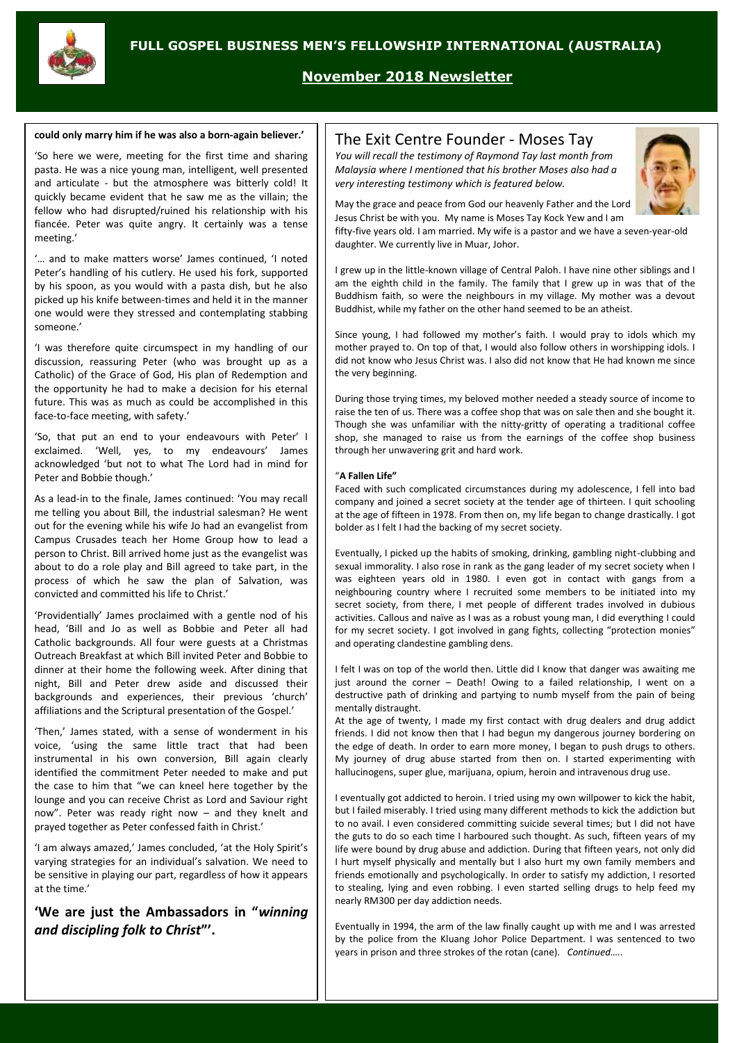

# **November 2018 Newsletter**

#### **could only marry him if he was also a born-again believer.'**

'So here we were, meeting for the first time and sharing pasta. He was a nice young man, intelligent, well presented and articulate - but the atmosphere was bitterly cold! It quickly became evident that he saw me as the villain; the fellow who had disrupted/ruined his relationship with his fiancée. Peter was quite angry. It certainly was a tense meeting.'

'… and to make matters worse' James continued, 'I noted Peter's handling of his cutlery. He used his fork, supported by his spoon, as you would with a pasta dish, but he also picked up his knife between-times and held it in the manner one would were they stressed and contemplating stabbing someone.'

'I was therefore quite circumspect in my handling of our discussion, reassuring Peter (who was brought up as a Catholic) of the Grace of God, His plan of Redemption and the opportunity he had to make a decision for his eternal future. This was as much as could be accomplished in this face-to-face meeting, with safety.'

'So, that put an end to your endeavours with Peter' I exclaimed. 'Well, yes, to my endeavours' James acknowledged 'but not to what The Lord had in mind for Peter and Bobbie though.'

As a lead-in to the finale, James continued: 'You may recall me telling you about Bill, the industrial salesman? He went out for the evening while his wife Jo had an evangelist from Campus Crusades teach her Home Group how to lead a person to Christ. Bill arrived home just as the evangelist was about to do a role play and Bill agreed to take part, in the process of which he saw the plan of Salvation, was convicted and committed his life to Christ.'

'Providentially' James proclaimed with a gentle nod of his head, 'Bill and Jo as well as Bobbie and Peter all had Catholic backgrounds. All four were guests at a Christmas Outreach Breakfast at which Bill invited Peter and Bobbie to dinner at their home the following week. After dining that night, Bill and Peter drew aside and discussed their backgrounds and experiences, their previous 'church' affiliations and the Scriptural presentation of the Gospel.'

'Then,' James stated, with a sense of wonderment in his voice, 'using the same little tract that had been instrumental in his own conversion, Bill again clearly identified the commitment Peter needed to make and put the case to him that "we can kneel here together by the lounge and you can receive Christ as Lord and Saviour right now". Peter was ready right now – and they knelt and prayed together as Peter confessed faith in Christ.'

'I am always amazed,' James concluded, 'at the Holy Spirit's varying strategies for an individual's salvation. We need to be sensitive in playing our part, regardless of how it appears at the time.'

**'We are just the Ambassadors in "***winning and discipling folk to Christ***"'.** 

## The Exit Centre Founder - Moses Tay

*You will recall the testimony of Raymond Tay last month from Malaysia where I mentioned that his brother Moses also had a very interesting testimony which is featured below.*



May the grace and peace from God our heavenly Father and the Lord Jesus Christ be with you. My name is Moses Tay Kock Yew and I am

fifty-five years old. I am married. My wife is a pastor and we have a seven-year-old daughter. We currently live in Muar, Johor.

I grew up in the little-known village of Central Paloh. I have nine other siblings and I am the eighth child in the family. The family that I grew up in was that of the Buddhism faith, so were the neighbours in my village. My mother was a devout Buddhist, while my father on the other hand seemed to be an atheist.

Since young, I had followed my mother's faith. I would pray to idols which my mother prayed to. On top of that, I would also follow others in worshipping idols. I did not know who Jesus Christ was. I also did not know that He had known me since the very beginning.

During those trying times, my beloved mother needed a steady source of income to raise the ten of us. There was a coffee shop that was on sale then and she bought it. Though she was unfamiliar with the nitty-gritty of operating a traditional coffee shop, she managed to raise us from the earnings of the coffee shop business through her unwavering grit and hard work.

#### "**A Fallen Life"**

Faced with such complicated circumstances during my adolescence, I fell into bad company and joined a secret society at the tender age of thirteen. I quit schooling at the age of fifteen in 1978. From then on, my life began to change drastically. I got bolder as I felt I had the backing of my secret society.

Eventually, I picked up the habits of smoking, drinking, gambling night-clubbing and sexual immorality. I also rose in rank as the gang leader of my secret society when I was eighteen years old in 1980. I even got in contact with gangs from a neighbouring country where I recruited some members to be initiated into my secret society, from there, I met people of different trades involved in dubious activities. Callous and naïve as I was as a robust young man, I did everything I could for my secret society. I got involved in gang fights, collecting "protection monies" and operating clandestine gambling dens.

I felt I was on top of the world then. Little did I know that danger was awaiting me just around the corner – Death! Owing to a failed relationship. I went on a destructive path of drinking and partying to numb myself from the pain of being mentally distraught.

At the age of twenty, I made my first contact with drug dealers and drug addict friends. I did not know then that I had begun my dangerous journey bordering on the edge of death. In order to earn more money, I began to push drugs to others. My journey of drug abuse started from then on. I started experimenting with hallucinogens, super glue, marijuana, opium, heroin and intravenous drug use.

I eventually got addicted to heroin. I tried using my own willpower to kick the habit, but I failed miserably. I tried using many different methods to kick the addiction but to no avail. I even considered committing suicide several times; but I did not have the guts to do so each time I harboured such thought. As such, fifteen years of my life were bound by drug abuse and addiction. During that fifteen years, not only did I hurt myself physically and mentally but I also hurt my own family members and friends emotionally and psychologically. In order to satisfy my addiction, I resorted to stealing, lying and even robbing. I even started selling drugs to help feed my nearly RM300 per day addiction needs.

Eventually in 1994, the arm of the law finally caught up with me and I was arrested by the police from the Kluang Johor Police Department. I was sentenced to two years in prison and three strokes of the rotan (cane). *Continued…..*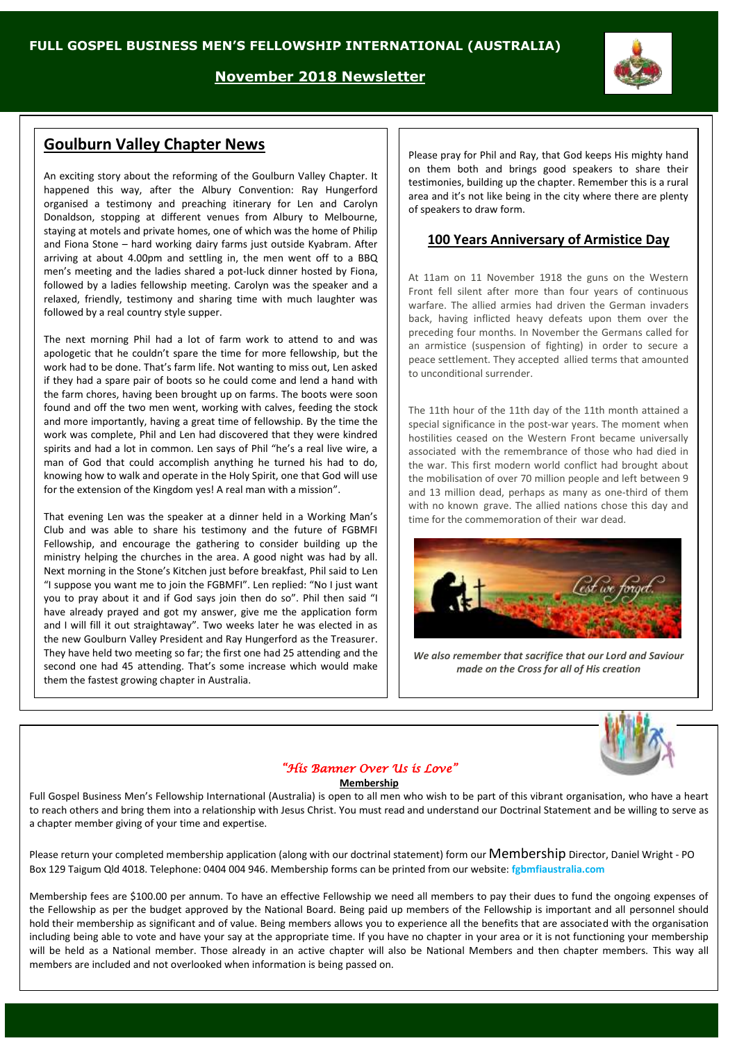**November 2018 Newsletter**

# **Goulburn Valley Chapter News**

An exciting story about the reforming of the Goulburn Valley Chapter. It happened this way, after the Albury Convention: Ray Hungerford organised a testimony and preaching itinerary for Len and Carolyn Donaldson, stopping at different venues from Albury to Melbourne, staying at motels and private homes, one of which was the home of Philip and Fiona Stone – hard working dairy farms just outside Kyabram. After arriving at about 4.00pm and settling in, the men went off to a BBQ men's meeting and the ladies shared a pot-luck dinner hosted by Fiona, followed by a ladies fellowship meeting. Carolyn was the speaker and a relaxed, friendly, testimony and sharing time with much laughter was followed by a real country style supper.

The next morning Phil had a lot of farm work to attend to and was apologetic that he couldn't spare the time for more fellowship, but the work had to be done. That's farm life. Not wanting to miss out, Len asked if they had a spare pair of boots so he could come and lend a hand with the farm chores, having been brought up on farms. The boots were soon found and off the two men went, working with calves, feeding the stock and more importantly, having a great time of fellowship. By the time the work was complete, Phil and Len had discovered that they were kindred spirits and had a lot in common. Len says of Phil "he's a real live wire, a man of God that could accomplish anything he turned his had to do, knowing how to walk and operate in the Holy Spirit, one that God will use for the extension of the Kingdom yes! A real man with a mission".

That evening Len was the speaker at a dinner held in a Working Man's Club and was able to share his testimony and the future of FGBMFI Fellowship, and encourage the gathering to consider building up the ministry helping the churches in the area. A good night was had by all. Next morning in the Stone's Kitchen just before breakfast, Phil said to Len "I suppose you want me to join the FGBMFI". Len replied: "No I just want you to pray about it and if God says join then do so". Phil then said "I have already prayed and got my answer, give me the application form and I will fill it out straightaway". Two weeks later he was elected in as the new Goulburn Valley President and Ray Hungerford as the Treasurer. They have held two meeting so far; the first one had 25 attending and the second one had 45 attending. That's some increase which would make them the fastest growing chapter in Australia.

Please pray for Phil and Ray, that God keeps His mighty hand on them both and brings good speakers to share their testimonies, building up the chapter. Remember this is a rural area and it's not like being in the city where there are plenty of speakers to draw form.

### **100 Years Anniversary of Armistice Day**

At 11am on 11 November 1918 the guns on the Western Front fell silent after more than four years of continuous warfare. The allied armies had driven the German invaders back, having inflicted heavy defeats upon them over the preceding four months. In November the Germans called for an armistice (suspension of fighting) in order to secure a peace settlement. They accepted allied terms that amounted to unconditional surrender.

The 11th hour of the 11th day of the 11th month attained a special significance in the post-war years. The moment when hostilities ceased on the Western Front became universally associated with the remembrance of those who had died in the war. This first modern world conflict had brought about the mobilisation of over 70 million people and left between 9 and 13 million dead, perhaps as many as one-third of them with no known grave. The allied nations chose this day and time for the commemoration of their war dead.



*We also remember that sacrifice that our Lord and Saviour made on the Cross for all of His creation*



#### *"His Banner Over Us is Love"*

#### **Membership**

Full Gospel Business Men's Fellowship International (Australia) is open to all men who wish to be part of this vibrant organisation, who have a heart to reach others and bring them into a relationship with Jesus Christ. You must read and understand our Doctrinal Statement and be willing to serve as a chapter member giving of your time and expertise.

Please return your completed membership application (along with our doctrinal statement) form our Membership Director, Daniel Wright - PO Box 129 Taigum Qld 4018. Telephone: 0404 004 946. Membership forms can be printed from our website: **fgbmfiaustralia.com**

Membership fees are \$100.00 per annum. To have an effective Fellowship we need all members to pay their dues to fund the ongoing expenses of the Fellowship as per the budget approved by the National Board. Being paid up members of the Fellowship is important and all personnel should hold their membership as significant and of value. Being members allows you to experience all the benefits that are associated with the organisation including being able to vote and have your say at the appropriate time. If you have no chapter in your area or it is not functioning your membership will be held as a National member. Those already in an active chapter will also be National Members and then chapter members. This way all members are included and not overlooked when information is being passed on.